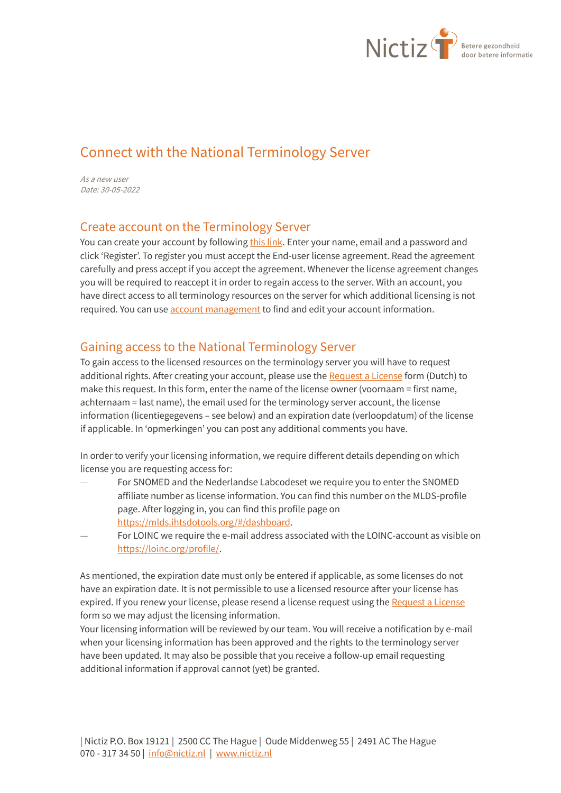

# Connect with the National Terminology Server

As a new user Date: 30-05-2022

### Create account on the Terminology Server

You can create your account by followin[g this link.](https://terminologieserver.nl/auth/realms/nictiz/protocol/openid-connect/registrations?client_id=account&response_type=code&scope=email) Enter your name, email and a password and click 'Register'. To register you must accept the End-user license agreement. Read the agreement carefully and press accept if you accept the agreement. Whenever the license agreement changes you will be required to reaccept it in order to regain access to the server. With an account, you have direct access to all terminology resources on the server for which additional licensing is not required. You can us[e account management](https://terminologieserver.nl/auth/realms/nictiz/account/) to find and edit your account information.

# Gaining access to the National Terminology Server

To gain access to the licensed resources on the terminology server you will have to request additional rights. After creating your account, please use th[e Request a License](https://forms.office.com/Pages/ResponsePage.aspx?id=jS5UPeujj0SZjd1ogNwRnH3lAzeXNl5Do7W0YBzeQ9BUNllTVFQ5NFFCS1RRT0dZTjBUUFFKWU5WRS4u) form (Dutch) to make this request. In this form, enter the name of the license owner (voornaam = first name, achternaam = last name), the email used for the terminology server account, the license information (licentiegegevens – see below) and an expiration date (verloopdatum) of the license if applicable. In 'opmerkingen' you can post any additional comments you have.

In order to verify your licensing information, we require different details depending on which license you are requesting access for:

- For SNOMED and the Nederlandse Labcodeset we require you to enter the SNOMED affiliate number as license information. You can find this number on the MLDS-profile page. After logging in, you can find this profile page on [https://mlds.ihtsdotools.org/#/dashboard.](https://mlds.ihtsdotools.org/#/dashboard)
- For LOINC we require the e-mail address associated with the LOINC-account as visible on [https://loinc.org/profile/.](https://loinc.org/profile/)

As mentioned, the expiration date must only be entered if applicable, as some licenses do not have an expiration date. It is not permissible to use a licensed resource after your license has expired. If you renew your license, please resend a license request using th[e Request a License](https://forms.office.com/Pages/ResponsePage.aspx?id=jS5UPeujj0SZjd1ogNwRnH3lAzeXNl5Do7W0YBzeQ9BUNllTVFQ5NFFCS1RRT0dZTjBUUFFKWU5WRS4u) form so we may adjust the licensing information.

Your licensing information will be reviewed by our team. You will receive a notification by e-mail when your licensing information has been approved and the rights to the terminology server have been updated. It may also be possible that you receive a follow-up email requesting additional information if approval cannot (yet) be granted.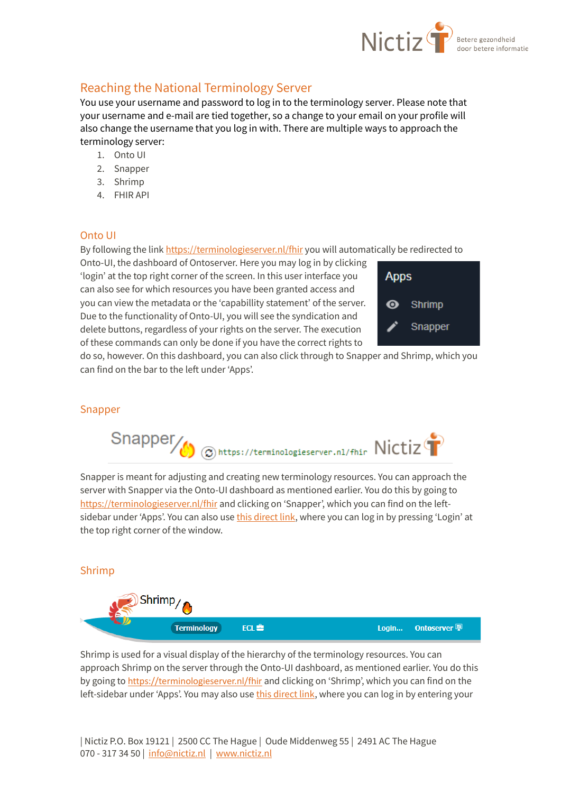

# Reaching the National Terminology Server

You use your username and password to log in to the terminology server. Please note that your username and e-mail are tied together, so a change to your email on your profile will also change the username that you log in with. There are multiple ways to approach the terminology server:

- 1. Onto UI
- 2. Snapper
- 3. Shrimp
- 4. FHIR API

#### Onto UI

By following the link<https://terminologieserver.nl/fhir> you will automatically be redirected to

Onto-UI, the dashboard of Ontoserver. Here you may log in by clicking 'login' at the top right corner of the screen. In this user interface you can also see for which resources you have been granted access and you can view the metadata or the 'capabillity statement' of the server. Due to the functionality of Onto-UI, you will see the syndication and delete buttons, regardless of your rights on the server. The execution of these commands can only be done if you have the correct rights to



do so, however. On this dashboard, you can also click through to Snapper and Shrimp, which you can find on the bar to the left under 'Apps'.

#### Snapper



Snapper is meant for adjusting and creating new terminology resources. You can approach the server with Snapper via the Onto-UI dashboard as mentioned earlier. You do this by going to <https://terminologieserver.nl/fhir> and clicking on 'Snapper', which you can find on the leftsidebar under 'Apps'. You can also us[e this direct link,](https://ontoserver.csiro.au/snapper/?iss=https://terminologieserver.nl/fhir) where you can log in by pressing 'Login' at the top right corner of the window.

#### Shrimp



Shrimp is used for a visual display of the hierarchy of the terminology resources. You can approach Shrimp on the server through the Onto-UI dashboard, as mentioned earlier. You do this by going to [https://terminologieserver.nl/fhir](https://terminologieserver.nl/fhir%22%20/) and clicking on 'Shrimp', which you can find on the left-sidebar under 'Apps'. You may also use [this direct link,](https://ontoserver.csiro.au/shrimp/?fhir=https%3A%2F%2Fterminologieserver.nl%2Ffhir) where you can log in by entering your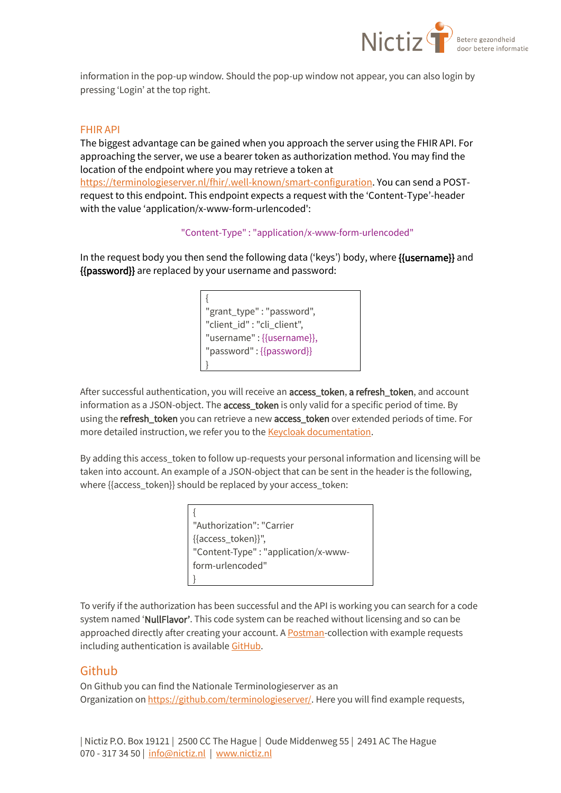

information in the pop-up window. Should the pop-up window not appear, you can also login by pressing 'Login' at the top right.

#### FHIR API

The biggest advantage can be gained when you approach the server using the FHIR API. For approaching the server, we use a bearer token as authorization method. You may find the location of the endpoint where you may retrieve a token at [https://terminologieserver.nl/fhir/.well-known/smart-configuration.](https://terminologieserver.nl/fhir/.well-known/smart-configuration) You can send a POSTrequest to this endpoint. This endpoint expects a request with the 'Content-Type'-header with the value 'application/x-www-form-urlencoded':

#### "Content-Type" : "application/x-www-form-urlencoded"

In the request body you then send the following data ('keys') body, where {{username}} and {{password}} are replaced by your username and password:

> { "grant\_type" : "password", "client\_id" : "cli\_client", "username" : {{username}}, "password" : {{password}} }

After successful authentication, you will receive an access\_token, a refresh\_token, and account information as a JSON-object. The **access\_token** is only valid for a specific period of time. By using the refresh\_token you can retrieve a new access\_token over extended periods of time. For more detailed instruction, we refer you to the **Keycloak documentation**.

By adding this access\_token to follow up-requests your personal information and licensing will be taken into account. An example of a JSON-object that can be sent in the header is the following, where {{access\_token}} should be replaced by your access\_token:

> { "Authorization": "Carrier {{access\_token}}", "Content-Type" : "application/x-wwwform-urlencoded" }

To verify if the authorization has been successful and the API is working you can search for a code system named 'NullFlavor'. This code system can be reached without licensing and so can be approached directly after creating your account. A **Postman-collection with example requests** including authentication is availabl[e GitHub.](https://github.com/terminologieserver/postman_voorbeelden/)

#### Github

On Github you can find the Nationale Terminologieserver as an Organization on [https://github.com/terminologieserver/.](https://github.com/terminologieserver/) Here you will find example requests,